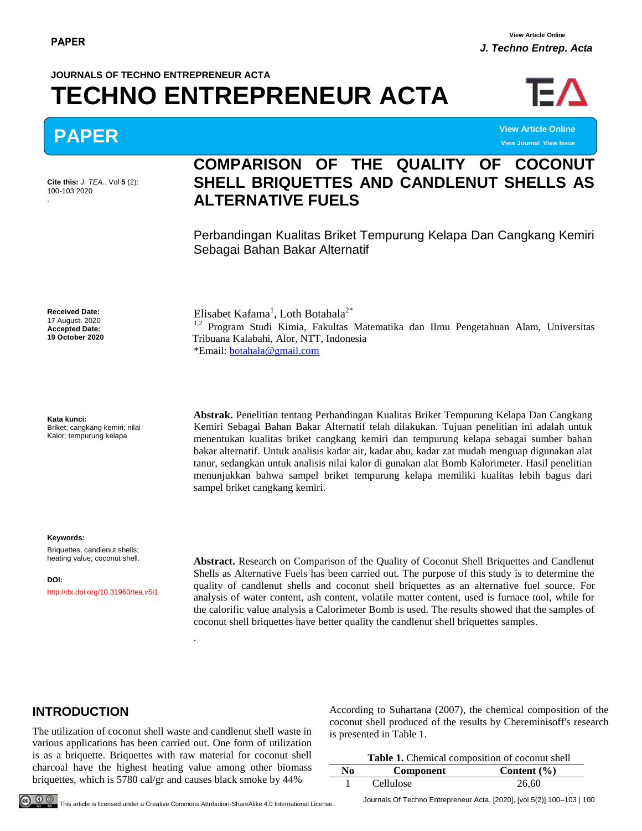**View Journal View Issue**

# **JOURNALS OF TECHNO ENTREPRENEUR ACTA TECHNO ENTREPRENEUR ACTA**



**PAPER View Article Online**

**Cite this:** *J. TEA.*. Vol **5** (2): 100-103 2020 .

# **COMPARISON OF THE QUALITY OF COCONUT SHELL BRIQUETTES AND CANDLENUT SHELLS AS ALTERNATIVE FUELS**

Perbandingan Kualitas Briket Tempurung Kelapa Dan Cangkang Kemiri Sebagai Bahan Bakar Alternatif

**Received Date:** 17 August. 2020 **Accepted Date: 19 October 2020** 

**Kata kunci:** Briket; cangkang kemiri; nilai Kalor; tempurung kelapa

**Keywords:**

Briquettes; candlenut shells; heating value; coconut shell.

**DOI:** http://dx.doi.org/10.31960/tea.v5i1

Elisabet Kafama<sup>1</sup>, Loth Botahala<sup>2\*</sup> <sup>1,2</sup> Program Studi Kimia, Fakultas Matematika dan Ilmu Pengetahuan Alam, Universitas Tribuana Kalabahi, Alor, NTT, Indonesia \*Email: [botahala@gmail.com](mailto:botahala@gmail.com)

**Abstrak.** Penelitian tentang Perbandingan Kualitas Briket Tempurung Kelapa Dan Cangkang Kemiri Sebagai Bahan Bakar Alternatif telah dilakukan. Tujuan penelitian ini adalah untuk menentukan kualitas briket cangkang kemiri dan tempurung kelapa sebagai sumber bahan bakar alternatif. Untuk analisis kadar air, kadar abu, kadar zat mudah menguap digunakan alat tanur, sedangkan untuk analisis nilai kalor di gunakan alat Bomb Kalorimeter. Hasil penelitian menunjukkan bahwa sampel briket tempurung kelapa memiliki kualitas lebih bagus dari sampel briket cangkang kemiri.

**Abstract.** Research on Comparison of the Quality of Coconut Shell Briquettes and Candlenut Shells as Alternative Fuels has been carried out. The purpose of this study is to determine the quality of candlenut shells and coconut shell briquettes as an alternative fuel source. For analysis of water content, ash content, volatile matter content, used is furnace tool, while for the calorific value analysis a Calorimeter Bomb is used. The results showed that the samples of coconut shell briquettes have better quality the candlenut shell briquettes samples.

### **INTRODUCTION**

The utilization of coconut shell waste and candlenut shell waste in various applications has been carried out. One form of utilization is as a briquette. Briquettes with raw material for coconut shell charcoal have the highest heating value among other biomass briquettes, which is 5780 cal/gr and causes black smoke by 44%

According to Suhartana (2007), the chemical composition of the coconut shell produced of the results by Chereminisoff's research is presented in Table 1.

| Table 1. Chemical composition of coconut shell |                  |                 |  |
|------------------------------------------------|------------------|-----------------|--|
| No                                             | Component        | Content $(\% )$ |  |
|                                                | <b>Cellulose</b> | 26.60           |  |

.

Journals Of Techno Entrepreneur Acta, [2020], [vol.5(2)] 100–103 | 100 This article is licensed under a Creative Commons Attribution-ShareAlike 4.0 International License.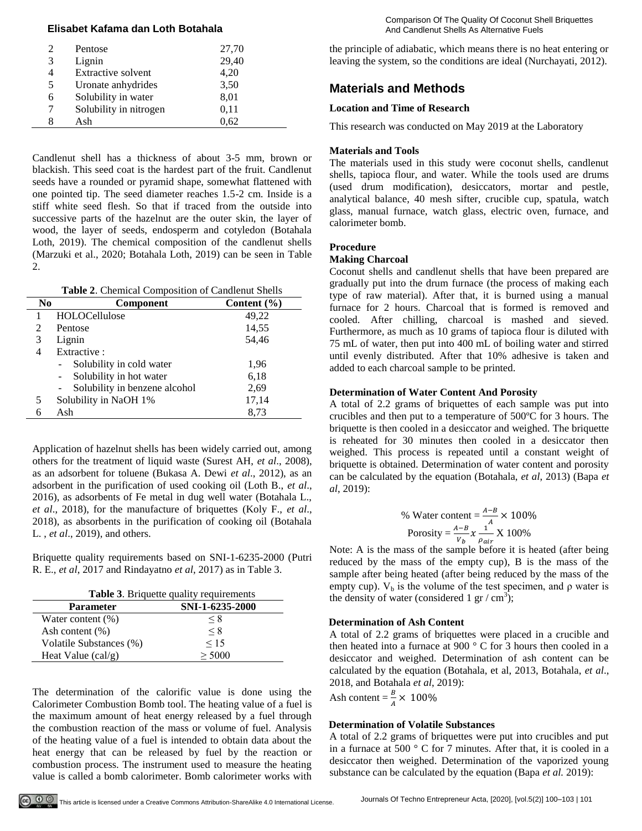#### **Elisabet Kafama dan Loth Botahala** And Candlenut Shells As Alternative Fuels As Alternative Fuels

|   | Pentose                   | 27,70 |
|---|---------------------------|-------|
| 3 | Lignin                    | 29,40 |
| 4 | <b>Extractive solvent</b> | 4,20  |
| 5 | Uronate anhydrides        | 3,50  |
| 6 | Solubility in water       | 8,01  |
|   | Solubility in nitrogen    | 0,11  |
|   | Ash                       | 0.62  |

Candlenut shell has a thickness of about 3-5 mm, brown or blackish. This seed coat is the hardest part of the fruit. Candlenut seeds have a rounded or pyramid shape, somewhat flattened with one pointed tip. The seed diameter reaches 1.5-2 cm. Inside is a stiff white seed flesh. So that if traced from the outside into successive parts of the hazelnut are the outer skin, the layer of wood, the layer of seeds, endosperm and cotyledon (Botahala Loth, 2019). The chemical composition of the candlenut shells (Marzuki et al., 2020; Botahala Loth, 2019) can be seen in Table 2.

| Table 2. Chemical Composition of Candlenut Shells |                               |                 |  |
|---------------------------------------------------|-------------------------------|-----------------|--|
| N <sub>0</sub>                                    | <b>Component</b>              | Content $(\% )$ |  |
| 1                                                 | HOLOCellulose                 | 49,22           |  |
| 2                                                 | Pentose                       | 14,55           |  |
| 3                                                 | Lignin                        | 54,46           |  |
| 4                                                 | Extractive:                   |                 |  |
|                                                   | Solubility in cold water      | 1,96            |  |
|                                                   | Solubility in hot water       | 6,18            |  |
|                                                   | Solubility in benzene alcohol | 2,69            |  |
| 5                                                 | Solubility in NaOH 1%         | 17,14           |  |
| 6                                                 | Ash                           | 8.73            |  |

Application of hazelnut shells has been widely carried out, among others for the treatment of liquid waste (Surest AH, *et al*., 2008), as an adsorbent for toluene (Bukasa A. Dewi *et al*., 2012), as an adsorbent in the purification of used cooking oil (Loth B., *et al*., 2016), as adsorbents of Fe metal in dug well water (Botahala L., *et al*., 2018), for the manufacture of briquettes (Koly F., *et al*., 2018), as absorbents in the purification of cooking oil (Botahala L. , *et al*., 2019), and others.

Briquette quality requirements based on SNI-1-6235-2000 (Putri R. E., *et al*, 2017 and Rindayatno *et al*, 2017) as in Table 3.

| <b>Table 3.</b> Briquette quality requirements |                 |  |  |
|------------------------------------------------|-----------------|--|--|
| <b>Parameter</b>                               | SNI-1-6235-2000 |  |  |
| Water content $(\%)$                           | $\leq 8$        |  |  |
| Ash content $(\% )$                            | $\leq 8$        |  |  |
| Volatile Substances (%)                        | 15              |  |  |
| Heat Value $\left(\text{cal/g}\right)$         | > 5000          |  |  |

The determination of the calorific value is done using the Calorimeter Combustion Bomb tool. The heating value of a fuel is the maximum amount of heat energy released by a fuel through the combustion reaction of the mass or volume of fuel. Analysis of the heating value of a fuel is intended to obtain data about the heat energy that can be released by fuel by the reaction or combustion process. The instrument used to measure the heating value is called a bomb calorimeter. Bomb calorimeter works with

the principle of adiabatic, which means there is no heat entering or leaving the system, so the conditions are ideal (Nurchayati, 2012).

## **Materials and Methods**

#### **Location and Time of Research**

This research was conducted on May 2019 at the Laboratory

#### **Materials and Tools**

The materials used in this study were coconut shells, candlenut shells, tapioca flour, and water. While the tools used are drums (used drum modification), desiccators, mortar and pestle, analytical balance, 40 mesh sifter, crucible cup, spatula, watch glass, manual furnace, watch glass, electric oven, furnace, and calorimeter bomb.

#### **Procedure**

#### **Making Charcoal**

Coconut shells and candlenut shells that have been prepared are gradually put into the drum furnace (the process of making each type of raw material). After that, it is burned using a manual furnace for 2 hours. Charcoal that is formed is removed and cooled. After chilling, charcoal is mashed and sieved. Furthermore, as much as 10 grams of tapioca flour is diluted with 75 mL of water, then put into 400 mL of boiling water and stirred until evenly distributed. After that 10% adhesive is taken and added to each charcoal sample to be printed.

#### **Determination of Water Content And Porosity**

A total of 2.2 grams of briquettes of each sample was put into crucibles and then put to a temperature of 500ºC for 3 hours. The briquette is then cooled in a desiccator and weighed. The briquette is reheated for 30 minutes then cooled in a desiccator then weighed. This process is repeated until a constant weight of briquette is obtained. Determination of water content and porosity can be calculated by the equation (Botahala, *et al*, 2013) (Bapa *et al*, 2019):

% Water content = 
$$
\frac{A-B}{A} \times 100\%
$$
  
Porosity =  $\frac{A-B}{V_b} x \frac{1}{\rho_{air}} X 100\%$ 

Note: A is the mass of the sample before it is heated (after being reduced by the mass of the empty cup), B is the mass of the sample after being heated (after being reduced by the mass of the empty cup).  $V_b$  is the volume of the test specimen, and  $\rho$  water is the density of water (considered 1 gr / cm<sup>3</sup>);

#### **Determination of Ash Content**

A total of 2.2 grams of briquettes were placed in a crucible and then heated into a furnace at 900 ° C for 3 hours then cooled in a desiccator and weighed. Determination of ash content can be calculated by the equation (Botahala, et al, 2013, Botahala, *et al*., 2018, and Botahala *et al*, 2019):

Ash content  $=\frac{B}{A} \times$ 

#### **Determination of Volatile Substances**

A total of 2.2 grams of briquettes were put into crucibles and put in a furnace at 500 ° C for 7 minutes. After that, it is cooled in a desiccator then weighed. Determination of the vaporized young substance can be calculated by the equation (Bapa *et al.* 2019):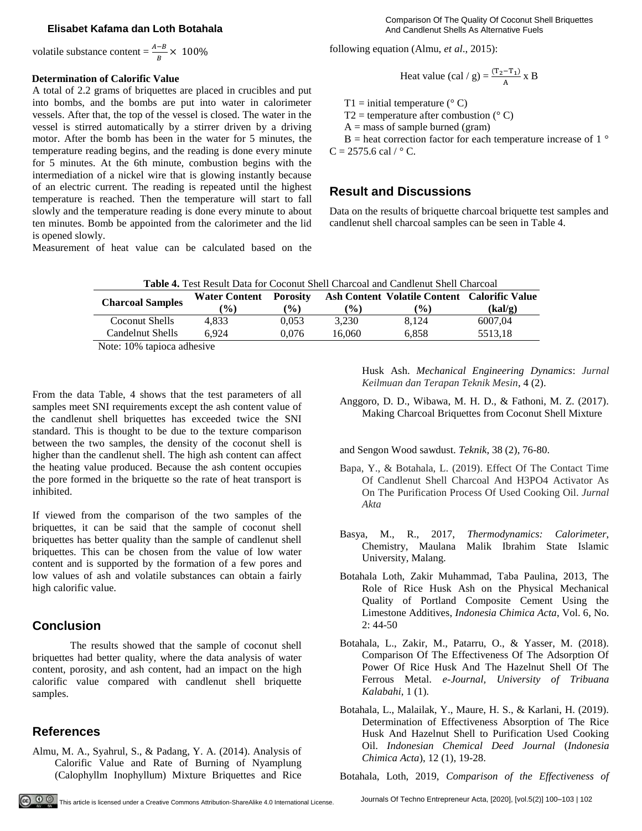#### **Elisabet Kafama dan Loth Botahala** And Candlenut Shells As Alternative Fuels

volatile substance content =  $\frac{A-B}{B} \times$ 

#### **Determination of Calorific Value**

A total of 2.2 grams of briquettes are placed in crucibles and put into bombs, and the bombs are put into water in calorimeter vessels. After that, the top of the vessel is closed. The water in the vessel is stirred automatically by a stirrer driven by a driving motor. After the bomb has been in the water for 5 minutes, the temperature reading begins, and the reading is done every minute for 5 minutes. At the 6th minute, combustion begins with the intermediation of a nickel wire that is glowing instantly because of an electric current. The reading is repeated until the highest temperature is reached. Then the temperature will start to fall slowly and the temperature reading is done every minute to about ten minutes. Bomb be appointed from the calorimeter and the lid is opened slowly.

Measurement of heat value can be calculated based on the

Comparison Of The Quality Of Coconut Shell Briquettes

following equation (Almu, *et al*., 2015):

Heat value (cal / g) = 
$$
\frac{(T_2 - T_1)}{A}
$$
 x B

T1 = initial temperature ( $\degree$  C)

T2 = temperature after combustion  $(° C)$ 

 $A =$  mass of sample burned (gram)

 $B =$  heat correction factor for each temperature increase of 1  $\degree$  $C = 2575.6$  cal /  $\degree$  C.

#### **Result and Discussions**

Data on the results of briquette charcoal briquette test samples and candlenut shell charcoal samples can be seen in Table 4.

| <b>Table 4.</b> Test Result Data for Coconut Shell Charcoal and Candlenut Shell Charcoal |  |
|------------------------------------------------------------------------------------------|--|
|------------------------------------------------------------------------------------------|--|

| <b>Charcoal Samples</b>                        | <b>Water Content</b> | <b>Porosity</b> |        | Ash Content Volatile Content Calorific Value |         |
|------------------------------------------------|----------------------|-----------------|--------|----------------------------------------------|---------|
|                                                | $\frac{(0)}{0}$      | $($ %)          | $($ %) | $\frac{9}{6}$                                | (kal/g) |
| Coconut Shells                                 | 4.833                | 0.053           | 3.230  | 8.124                                        | 6007.04 |
| Candelnut Shells                               | 6.924                | 0.076           | 16.060 | 6.858                                        | 5513.18 |
| $\mathbf{M}$ . $\mathbf{100}$ . $\mathbf{100}$ |                      |                 |        |                                              |         |

Note: 10% tapioca adhesive

From the data Table, 4 shows that the test parameters of all samples meet SNI requirements except the ash content value of the candlenut shell briquettes has exceeded twice the SNI standard. This is thought to be due to the texture comparison between the two samples, the density of the coconut shell is higher than the candlenut shell. The high ash content can affect the heating value produced. Because the ash content occupies the pore formed in the briquette so the rate of heat transport is inhibited.

If viewed from the comparison of the two samples of the briquettes, it can be said that the sample of coconut shell briquettes has better quality than the sample of candlenut shell briquettes. This can be chosen from the value of low water content and is supported by the formation of a few pores and low values of ash and volatile substances can obtain a fairly high calorific value.

#### **Conclusion**

The results showed that the sample of coconut shell briquettes had better quality, where the data analysis of water content, porosity, and ash content, had an impact on the high calorific value compared with candlenut shell briquette samples.

#### **References**

Almu, M. A., Syahrul, S., & Padang, Y. A. (2014). Analysis of Calorific Value and Rate of Burning of Nyamplung (Calophyllm Inophyllum) Mixture Briquettes and Rice Husk Ash. *Mechanical Engineering Dynamics*: *Jurnal Keilmuan dan Terapan Teknik Mesin*, 4 (2).

Anggoro, D. D., Wibawa, M. H. D., & Fathoni, M. Z. (2017). Making Charcoal Briquettes from Coconut Shell Mixture

and Sengon Wood sawdust. *Teknik*, 38 (2), 76-80.

- Bapa, Y., & Botahala, L. (2019). Effect Of The Contact Time Of Candlenut Shell Charcoal And H3PO4 Activator As On The Purification Process Of Used Cooking Oil. *Jurnal Akta*
- Basya, M., R., 2017, *Thermodynamics: Calorimeter*, Chemistry, Maulana Malik Ibrahim State Islamic University, Malang.
- Botahala Loth, Zakir Muhammad, Taba Paulina, 2013, The Role of Rice Husk Ash on the Physical Mechanical Quality of Portland Composite Cement Using the Limestone Additives, *Indonesia Chimica Acta*, Vol. 6, No.  $2: 44-50$
- Botahala, L., Zakir, M., Patarru, O., & Yasser, M. (2018). Comparison Of The Effectiveness Of The Adsorption Of Power Of Rice Husk And The Hazelnut Shell Of The Ferrous Metal. *e-Journal, University of Tribuana Kalabahi*, 1 (1).
- Botahala, L., Malailak, Y., Maure, H. S., & Karlani, H. (2019). Determination of Effectiveness Absorption of The Rice Husk And Hazelnut Shell to Purification Used Cooking Oil. *Indonesian Chemical Deed Journal* (*Indonesia Chimica Acta*), 12 (1), 19-28.

Botahala, Loth, 2019, *Comparison of the Effectiveness of*